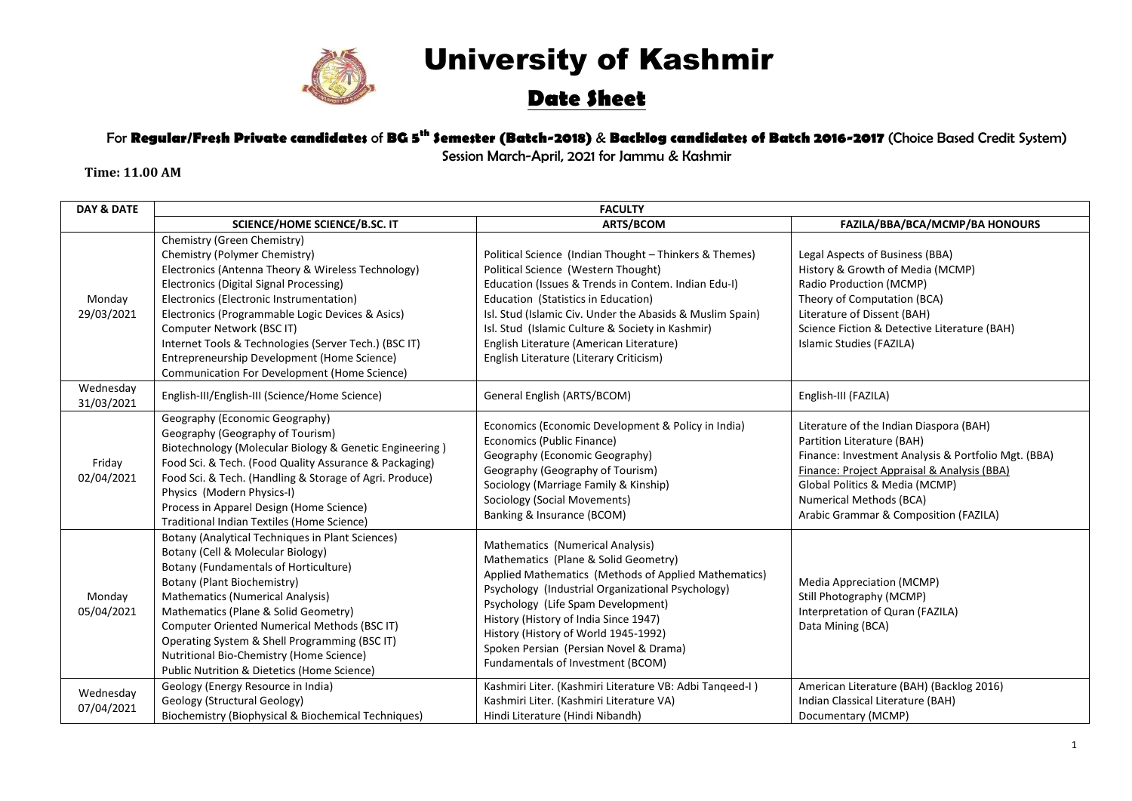

# University of Kashmir

## **Date Sheet**

### For **Regular/Fresh Private candidates** of **BG 5 th Semester (Batch-2018)** & **Backlog candidates of Batch 2016-2017** (Choice Based Credit System)

Session March-April, 2021 for Jammu & Kashmir

**Time: 11.00 AM**

| <b>DAY &amp; DATE</b>   | <b>FACULTY</b>                                                                                                                                                                                                                                                                                                                                                                                                                                     |                                                                                                                                                                                                                                                                                                                                                                                                     |                                                                                                                                                                                                                                                                                   |
|-------------------------|----------------------------------------------------------------------------------------------------------------------------------------------------------------------------------------------------------------------------------------------------------------------------------------------------------------------------------------------------------------------------------------------------------------------------------------------------|-----------------------------------------------------------------------------------------------------------------------------------------------------------------------------------------------------------------------------------------------------------------------------------------------------------------------------------------------------------------------------------------------------|-----------------------------------------------------------------------------------------------------------------------------------------------------------------------------------------------------------------------------------------------------------------------------------|
|                         | SCIENCE/HOME SCIENCE/B.SC. IT                                                                                                                                                                                                                                                                                                                                                                                                                      | <b>ARTS/BCOM</b>                                                                                                                                                                                                                                                                                                                                                                                    | FAZILA/BBA/BCA/MCMP/BA HONOURS                                                                                                                                                                                                                                                    |
| Monday<br>29/03/2021    | Chemistry (Green Chemistry)<br>Chemistry (Polymer Chemistry)<br>Electronics (Antenna Theory & Wireless Technology)<br>Electronics (Digital Signal Processing)<br>Electronics (Electronic Instrumentation)<br>Electronics (Programmable Logic Devices & Asics)<br>Computer Network (BSC IT)<br>Internet Tools & Technologies (Server Tech.) (BSC IT)<br>Entrepreneurship Development (Home Science)<br>Communication For Development (Home Science) | Political Science (Indian Thought - Thinkers & Themes)<br>Political Science (Western Thought)<br>Education (Issues & Trends in Contem. Indian Edu-I)<br>Education (Statistics in Education)<br>Isl. Stud (Islamic Civ. Under the Abasids & Muslim Spain)<br>Isl. Stud (Islamic Culture & Society in Kashmir)<br>English Literature (American Literature)<br>English Literature (Literary Criticism) | Legal Aspects of Business (BBA)<br>History & Growth of Media (MCMP)<br>Radio Production (MCMP)<br>Theory of Computation (BCA)<br>Literature of Dissent (BAH)<br>Science Fiction & Detective Literature (BAH)<br>Islamic Studies (FAZILA)                                          |
| Wednesday<br>31/03/2021 | English-III/English-III (Science/Home Science)                                                                                                                                                                                                                                                                                                                                                                                                     | General English (ARTS/BCOM)                                                                                                                                                                                                                                                                                                                                                                         | English-III (FAZILA)                                                                                                                                                                                                                                                              |
| Friday<br>02/04/2021    | Geography (Economic Geography)<br>Geography (Geography of Tourism)<br>Biotechnology (Molecular Biology & Genetic Engineering)<br>Food Sci. & Tech. (Food Quality Assurance & Packaging)<br>Food Sci. & Tech. (Handling & Storage of Agri. Produce)<br>Physics (Modern Physics-I)<br>Process in Apparel Design (Home Science)<br>Traditional Indian Textiles (Home Science)                                                                         | Economics (Economic Development & Policy in India)<br>Economics (Public Finance)<br>Geography (Economic Geography)<br>Geography (Geography of Tourism)<br>Sociology (Marriage Family & Kinship)<br>Sociology (Social Movements)<br>Banking & Insurance (BCOM)                                                                                                                                       | Literature of the Indian Diaspora (BAH)<br>Partition Literature (BAH)<br>Finance: Investment Analysis & Portfolio Mgt. (BBA)<br>Finance: Project Appraisal & Analysis (BBA)<br>Global Politics & Media (MCMP)<br>Numerical Methods (BCA)<br>Arabic Grammar & Composition (FAZILA) |
| Monday<br>05/04/2021    | Botany (Analytical Techniques in Plant Sciences)<br>Botany (Cell & Molecular Biology)<br>Botany (Fundamentals of Horticulture)<br>Botany (Plant Biochemistry)<br><b>Mathematics (Numerical Analysis)</b><br>Mathematics (Plane & Solid Geometry)<br>Computer Oriented Numerical Methods (BSC IT)<br>Operating System & Shell Programming (BSC IT)<br>Nutritional Bio-Chemistry (Home Science)<br>Public Nutrition & Dietetics (Home Science)       | Mathematics (Numerical Analysis)<br>Mathematics (Plane & Solid Geometry)<br>Applied Mathematics (Methods of Applied Mathematics)<br>Psychology (Industrial Organizational Psychology)<br>Psychology (Life Spam Development)<br>History (History of India Since 1947)<br>History (History of World 1945-1992)<br>Spoken Persian (Persian Novel & Drama)<br>Fundamentals of Investment (BCOM)         | Media Appreciation (MCMP)<br>Still Photography (MCMP)<br>Interpretation of Quran (FAZILA)<br>Data Mining (BCA)                                                                                                                                                                    |
| Wednesday<br>07/04/2021 | Geology (Energy Resource in India)<br>Geology (Structural Geology)<br>Biochemistry (Biophysical & Biochemical Techniques)                                                                                                                                                                                                                                                                                                                          | Kashmiri Liter. (Kashmiri Literature VB: Adbi Tanqeed-I)<br>Kashmiri Liter. (Kashmiri Literature VA)<br>Hindi Literature (Hindi Nibandh)                                                                                                                                                                                                                                                            | American Literature (BAH) (Backlog 2016)<br>Indian Classical Literature (BAH)<br>Documentary (MCMP)                                                                                                                                                                               |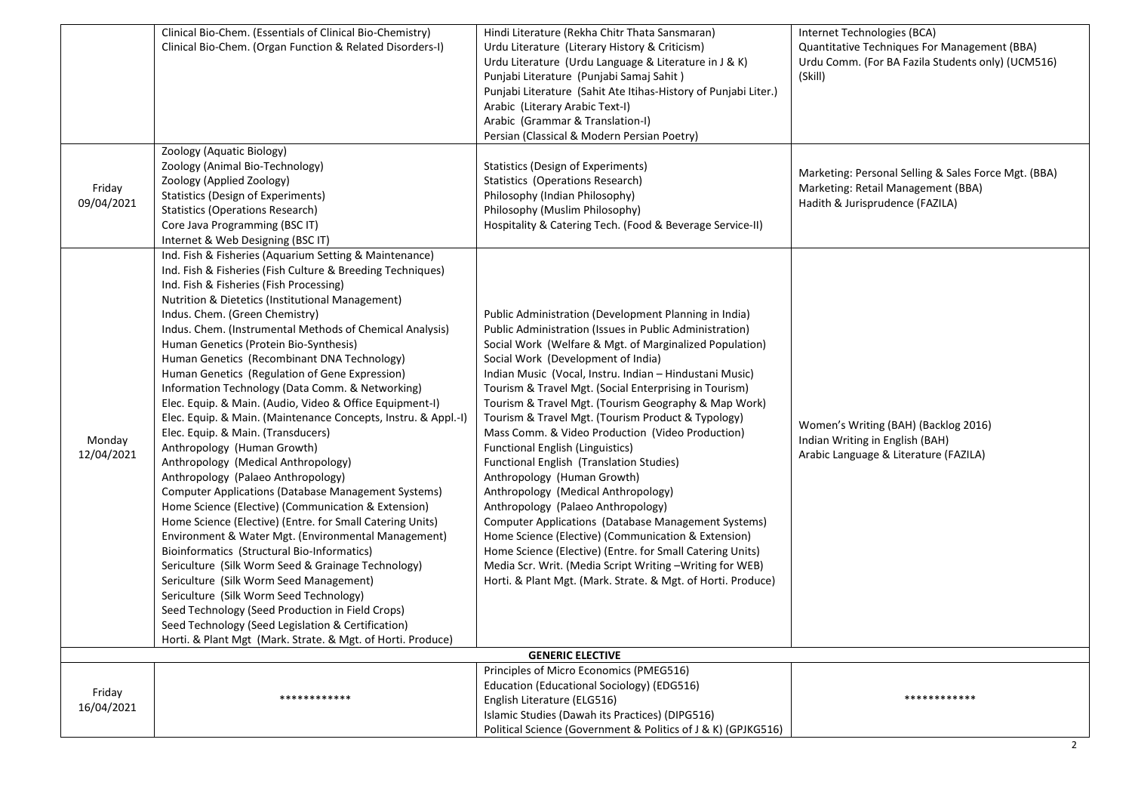|                      | Clinical Bio-Chem. (Essentials of Clinical Bio-Chemistry)<br>Clinical Bio-Chem. (Organ Function & Related Disorders-I)<br>Zoology (Aquatic Biology)                                                                                                                                                                                                                                                                                                                                                                                                                                                                                                                                                                                                                                                                                                                                                                                                                                                                                                                                                                                                                                                                                                                                                                                                                                                           | Hindi Literature (Rekha Chitr Thata Sansmaran)<br>Urdu Literature (Literary History & Criticism)<br>Urdu Literature (Urdu Language & Literature in J & K)<br>Punjabi Literature (Punjabi Samaj Sahit)<br>Punjabi Literature (Sahit Ate Itihas-History of Punjabi Liter.)<br>Arabic (Literary Arabic Text-I)<br>Arabic (Grammar & Translation-I)<br>Persian (Classical & Modern Persian Poetry)                                                                                                                                                                                                                                                                                                                                                                                                                                                                                                                                                                                                                      | Internet Technologies (BCA)<br>Quantitative Techniques For Management (BBA)<br>Urdu Comm. (For BA Fazila Students only) (UCM516)<br>(Skill) |
|----------------------|---------------------------------------------------------------------------------------------------------------------------------------------------------------------------------------------------------------------------------------------------------------------------------------------------------------------------------------------------------------------------------------------------------------------------------------------------------------------------------------------------------------------------------------------------------------------------------------------------------------------------------------------------------------------------------------------------------------------------------------------------------------------------------------------------------------------------------------------------------------------------------------------------------------------------------------------------------------------------------------------------------------------------------------------------------------------------------------------------------------------------------------------------------------------------------------------------------------------------------------------------------------------------------------------------------------------------------------------------------------------------------------------------------------|---------------------------------------------------------------------------------------------------------------------------------------------------------------------------------------------------------------------------------------------------------------------------------------------------------------------------------------------------------------------------------------------------------------------------------------------------------------------------------------------------------------------------------------------------------------------------------------------------------------------------------------------------------------------------------------------------------------------------------------------------------------------------------------------------------------------------------------------------------------------------------------------------------------------------------------------------------------------------------------------------------------------|---------------------------------------------------------------------------------------------------------------------------------------------|
| Friday<br>09/04/2021 | Zoology (Animal Bio-Technology)<br>Zoology (Applied Zoology)<br><b>Statistics (Design of Experiments)</b><br><b>Statistics (Operations Research)</b><br>Core Java Programming (BSC IT)<br>Internet & Web Designing (BSC IT)                                                                                                                                                                                                                                                                                                                                                                                                                                                                                                                                                                                                                                                                                                                                                                                                                                                                                                                                                                                                                                                                                                                                                                                   | Statistics (Design of Experiments)<br>Statistics (Operations Research)<br>Philosophy (Indian Philosophy)<br>Philosophy (Muslim Philosophy)<br>Hospitality & Catering Tech. (Food & Beverage Service-II)                                                                                                                                                                                                                                                                                                                                                                                                                                                                                                                                                                                                                                                                                                                                                                                                             | Marketing: Personal Selling & Sales Force Mgt. (BBA)<br>Marketing: Retail Management (BBA)<br>Hadith & Jurisprudence (FAZILA)               |
| Monday<br>12/04/2021 | Ind. Fish & Fisheries (Aquarium Setting & Maintenance)<br>Ind. Fish & Fisheries (Fish Culture & Breeding Techniques)<br>Ind. Fish & Fisheries (Fish Processing)<br>Nutrition & Dietetics (Institutional Management)<br>Indus. Chem. (Green Chemistry)<br>Indus. Chem. (Instrumental Methods of Chemical Analysis)<br>Human Genetics (Protein Bio-Synthesis)<br>Human Genetics (Recombinant DNA Technology)<br>Human Genetics (Regulation of Gene Expression)<br>Information Technology (Data Comm. & Networking)<br>Elec. Equip. & Main. (Audio, Video & Office Equipment-I)<br>Elec. Equip. & Main. (Maintenance Concepts, Instru. & Appl.-I)<br>Elec. Equip. & Main. (Transducers)<br>Anthropology (Human Growth)<br>Anthropology (Medical Anthropology)<br>Anthropology (Palaeo Anthropology)<br><b>Computer Applications (Database Management Systems)</b><br>Home Science (Elective) (Communication & Extension)<br>Home Science (Elective) (Entre. for Small Catering Units)<br>Environment & Water Mgt. (Environmental Management)<br>Bioinformatics (Structural Bio-Informatics)<br>Sericulture (Silk Worm Seed & Grainage Technology)<br>Sericulture (Silk Worm Seed Management)<br>Sericulture (Silk Worm Seed Technology)<br>Seed Technology (Seed Production in Field Crops)<br>Seed Technology (Seed Legislation & Certification)<br>Horti. & Plant Mgt (Mark. Strate. & Mgt. of Horti. Produce) | Public Administration (Development Planning in India)<br>Public Administration (Issues in Public Administration)<br>Social Work (Welfare & Mgt. of Marginalized Population)<br>Social Work (Development of India)<br>Indian Music (Vocal, Instru. Indian - Hindustani Music)<br>Tourism & Travel Mgt. (Social Enterprising in Tourism)<br>Tourism & Travel Mgt. (Tourism Geography & Map Work)<br>Tourism & Travel Mgt. (Tourism Product & Typology)<br>Mass Comm. & Video Production (Video Production)<br><b>Functional English (Linguistics)</b><br>Functional English (Translation Studies)<br>Anthropology (Human Growth)<br>Anthropology (Medical Anthropology)<br>Anthropology (Palaeo Anthropology)<br>Computer Applications (Database Management Systems)<br>Home Science (Elective) (Communication & Extension)<br>Home Science (Elective) (Entre. for Small Catering Units)<br>Media Scr. Writ. (Media Script Writing - Writing for WEB)<br>Horti. & Plant Mgt. (Mark. Strate. & Mgt. of Horti. Produce) | Women's Writing (BAH) (Backlog 2016)<br>Indian Writing in English (BAH)<br>Arabic Language & Literature (FAZILA)                            |
|                      |                                                                                                                                                                                                                                                                                                                                                                                                                                                                                                                                                                                                                                                                                                                                                                                                                                                                                                                                                                                                                                                                                                                                                                                                                                                                                                                                                                                                               | <b>GENERIC ELECTIVE</b>                                                                                                                                                                                                                                                                                                                                                                                                                                                                                                                                                                                                                                                                                                                                                                                                                                                                                                                                                                                             |                                                                                                                                             |
| Friday<br>16/04/2021 | ************                                                                                                                                                                                                                                                                                                                                                                                                                                                                                                                                                                                                                                                                                                                                                                                                                                                                                                                                                                                                                                                                                                                                                                                                                                                                                                                                                                                                  | Principles of Micro Economics (PMEG516)<br>Education (Educational Sociology) (EDG516)<br>English Literature (ELG516)<br>Islamic Studies (Dawah its Practices) (DIPG516)<br>Political Science (Government & Politics of J & K) (GPJKG516)                                                                                                                                                                                                                                                                                                                                                                                                                                                                                                                                                                                                                                                                                                                                                                            | ************                                                                                                                                |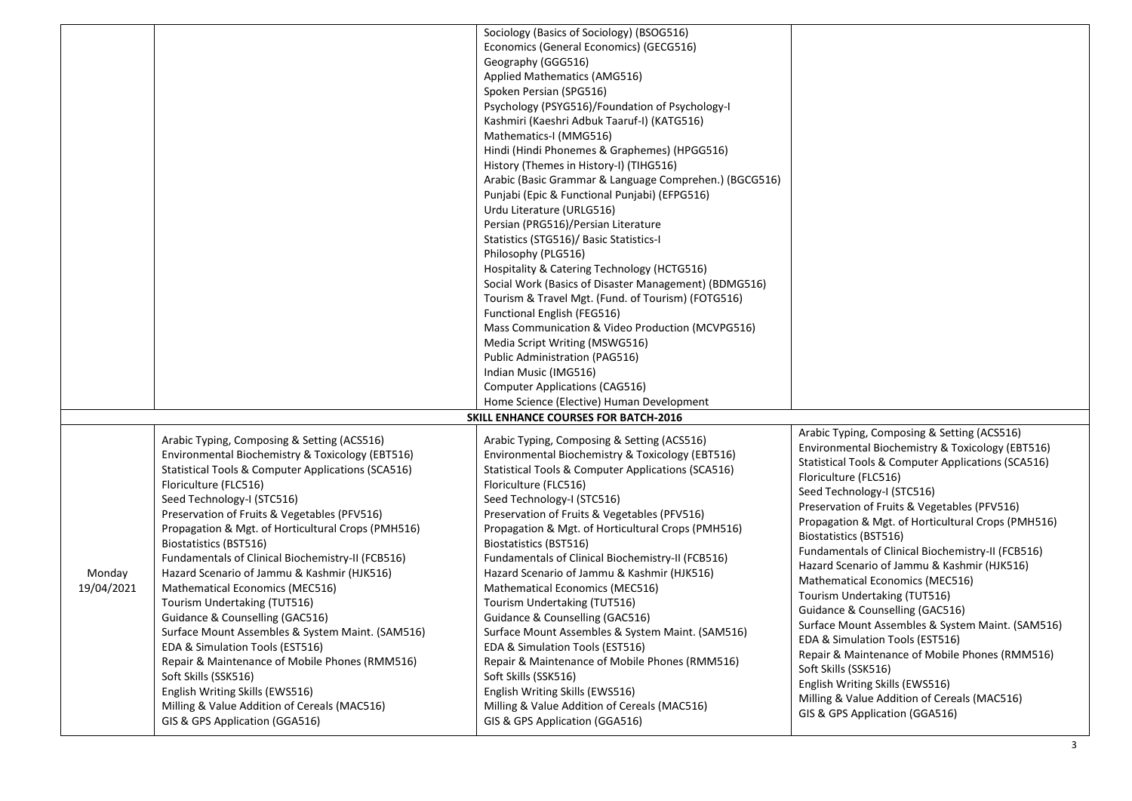|            |                                                                                | Sociology (Basics of Sociology) (BSOG516)                                      |                                                                                |
|------------|--------------------------------------------------------------------------------|--------------------------------------------------------------------------------|--------------------------------------------------------------------------------|
|            |                                                                                | Economics (General Economics) (GECG516)                                        |                                                                                |
|            |                                                                                | Geography (GGG516)                                                             |                                                                                |
|            |                                                                                | Applied Mathematics (AMG516)                                                   |                                                                                |
|            |                                                                                | Spoken Persian (SPG516)                                                        |                                                                                |
|            |                                                                                | Psychology (PSYG516)/Foundation of Psychology-I                                |                                                                                |
|            |                                                                                | Kashmiri (Kaeshri Adbuk Taaruf-I) (KATG516)                                    |                                                                                |
|            |                                                                                | Mathematics-I (MMG516)                                                         |                                                                                |
|            |                                                                                | Hindi (Hindi Phonemes & Graphemes) (HPGG516)                                   |                                                                                |
|            |                                                                                | History (Themes in History-I) (TIHG516)                                        |                                                                                |
|            |                                                                                | Arabic (Basic Grammar & Language Comprehen.) (BGCG516)                         |                                                                                |
|            |                                                                                |                                                                                |                                                                                |
|            |                                                                                | Punjabi (Epic & Functional Punjabi) (EFPG516)                                  |                                                                                |
|            |                                                                                | Urdu Literature (URLG516)                                                      |                                                                                |
|            |                                                                                | Persian (PRG516)/Persian Literature                                            |                                                                                |
|            |                                                                                | Statistics (STG516)/ Basic Statistics-I                                        |                                                                                |
|            |                                                                                | Philosophy (PLG516)                                                            |                                                                                |
|            |                                                                                | Hospitality & Catering Technology (HCTG516)                                    |                                                                                |
|            |                                                                                | Social Work (Basics of Disaster Management) (BDMG516)                          |                                                                                |
|            |                                                                                | Tourism & Travel Mgt. (Fund. of Tourism) (FOTG516)                             |                                                                                |
|            |                                                                                | Functional English (FEG516)                                                    |                                                                                |
|            |                                                                                | Mass Communication & Video Production (MCVPG516)                               |                                                                                |
|            |                                                                                | Media Script Writing (MSWG516)                                                 |                                                                                |
|            |                                                                                | Public Administration (PAG516)                                                 |                                                                                |
|            |                                                                                | Indian Music (IMG516)                                                          |                                                                                |
|            |                                                                                | <b>Computer Applications (CAG516)</b>                                          |                                                                                |
|            |                                                                                | Home Science (Elective) Human Development                                      |                                                                                |
|            |                                                                                | <b>SKILL ENHANCE COURSES FOR BATCH-2016</b>                                    |                                                                                |
|            | Arabic Typing, Composing & Setting (ACS516)                                    | Arabic Typing, Composing & Setting (ACS516)                                    | Arabic Typing, Composing & Setting (ACS516)                                    |
|            | Environmental Biochemistry & Toxicology (EBT516)                               | Environmental Biochemistry & Toxicology (EBT516)                               | Environmental Biochemistry & Toxicology (EBT516)                               |
|            | Statistical Tools & Computer Applications (SCA516)                             | Statistical Tools & Computer Applications (SCA516)                             | Statistical Tools & Computer Applications (SCA516)                             |
|            | Floriculture (FLC516)                                                          | Floriculture (FLC516)                                                          | Floriculture (FLC516)                                                          |
|            | Seed Technology-I (STC516)                                                     | Seed Technology-I (STC516)                                                     | Seed Technology-I (STC516)                                                     |
|            | Preservation of Fruits & Vegetables (PFV516)                                   |                                                                                | Preservation of Fruits & Vegetables (PFV516)                                   |
|            |                                                                                | Preservation of Fruits & Vegetables (PFV516)                                   | Propagation & Mgt. of Horticultural Crops (PMH516)                             |
|            | Propagation & Mgt. of Horticultural Crops (PMH516)                             | Propagation & Mgt. of Horticultural Crops (PMH516)                             | Biostatistics (BST516)                                                         |
|            | Biostatistics (BST516)                                                         | Biostatistics (BST516)                                                         | Fundamentals of Clinical Biochemistry-II (FCB516)                              |
|            | Fundamentals of Clinical Biochemistry-II (FCB516)                              | Fundamentals of Clinical Biochemistry-II (FCB516)                              | Hazard Scenario of Jammu & Kashmir (HJK516)                                    |
| Monday     | Hazard Scenario of Jammu & Kashmir (HJK516)                                    | Hazard Scenario of Jammu & Kashmir (HJK516)                                    | Mathematical Economics (MEC516)                                                |
| 19/04/2021 | Mathematical Economics (MEC516)                                                | Mathematical Economics (MEC516)                                                | Tourism Undertaking (TUT516)                                                   |
|            | Tourism Undertaking (TUT516)                                                   | Tourism Undertaking (TUT516)                                                   | Guidance & Counselling (GAC516)                                                |
|            | Guidance & Counselling (GAC516)                                                | Guidance & Counselling (GAC516)                                                | Surface Mount Assembles & System Maint. (SAM516)                               |
|            | Surface Mount Assembles & System Maint. (SAM516)                               | Surface Mount Assembles & System Maint. (SAM516)                               | EDA & Simulation Tools (EST516)                                                |
|            | EDA & Simulation Tools (EST516)                                                | EDA & Simulation Tools (EST516)                                                | Repair & Maintenance of Mobile Phones (RMM516)                                 |
|            | Repair & Maintenance of Mobile Phones (RMM516)                                 | Repair & Maintenance of Mobile Phones (RMM516)                                 | Soft Skills (SSK516)                                                           |
|            | Soft Skills (SSK516)                                                           | Soft Skills (SSK516)                                                           | English Writing Skills (EWS516)                                                |
|            | English Writing Skills (EWS516)                                                | English Writing Skills (EWS516)                                                |                                                                                |
|            |                                                                                |                                                                                |                                                                                |
|            | Milling & Value Addition of Cereals (MAC516)<br>GIS & GPS Application (GGA516) | Milling & Value Addition of Cereals (MAC516)<br>GIS & GPS Application (GGA516) | Milling & Value Addition of Cereals (MAC516)<br>GIS & GPS Application (GGA516) |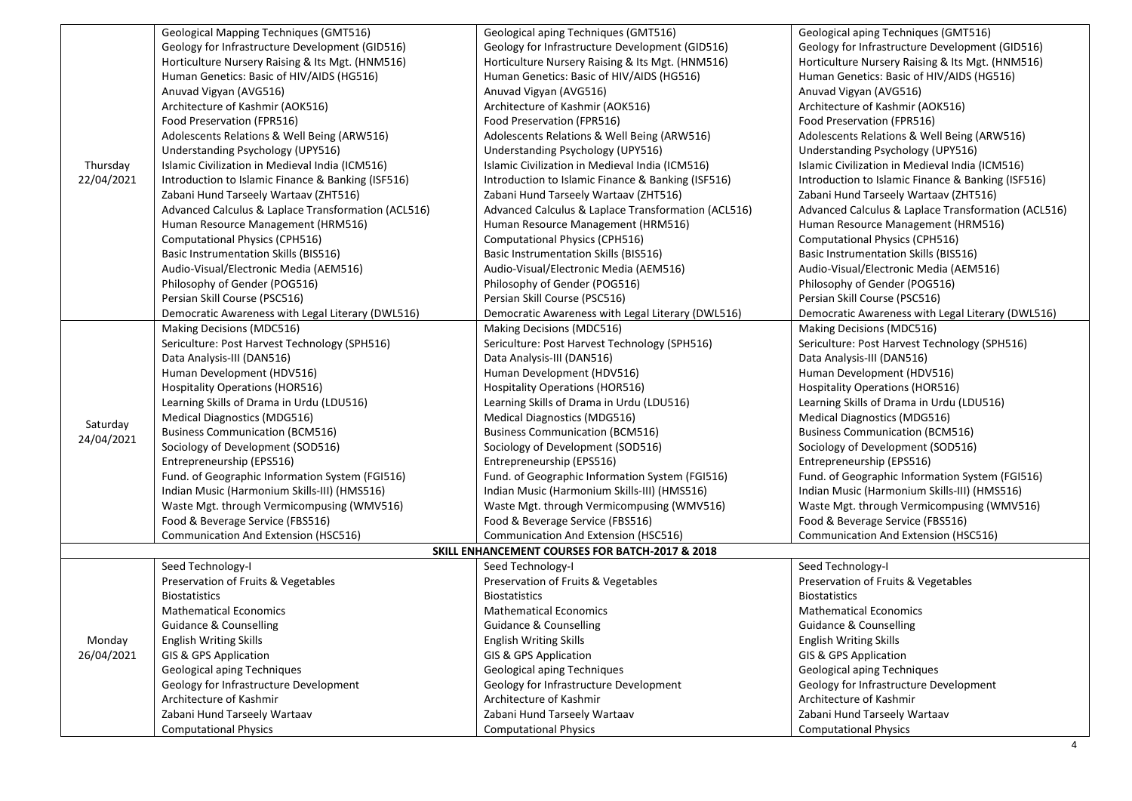|                                                                      | Geological Mapping Techniques (GMT516)                             | Geological aping Techniques (GMT516)                        | Geological aping Techniques (GMT516)                     |
|----------------------------------------------------------------------|--------------------------------------------------------------------|-------------------------------------------------------------|----------------------------------------------------------|
|                                                                      | Geology for Infrastructure Development (GID516)                    | Geology for Infrastructure Development (GID516)             | Geology for Infrastructure Development (GID516)          |
|                                                                      | Horticulture Nursery Raising & Its Mgt. (HNM516)                   | Horticulture Nursery Raising & Its Mgt. (HNM516)            | Horticulture Nursery Raising & Its Mgt. (HNM516)         |
|                                                                      | Human Genetics: Basic of HIV/AIDS (HG516)                          | Human Genetics: Basic of HIV/AIDS (HG516)                   | Human Genetics: Basic of HIV/AIDS (HG516)                |
|                                                                      | Anuvad Vigyan (AVG516)                                             | Anuvad Vigyan (AVG516)                                      | Anuvad Vigyan (AVG516)                                   |
| Thursday                                                             | Architecture of Kashmir (AOK516)                                   | Architecture of Kashmir (AOK516)                            | Architecture of Kashmir (AOK516)                         |
|                                                                      | Food Preservation (FPR516)                                         | Food Preservation (FPR516)                                  | Food Preservation (FPR516)                               |
|                                                                      | Adolescents Relations & Well Being (ARW516)                        | Adolescents Relations & Well Being (ARW516)                 | Adolescents Relations & Well Being (ARW516)              |
|                                                                      | Understanding Psychology (UPY516)                                  | Understanding Psychology (UPY516)                           | Understanding Psychology (UPY516)                        |
|                                                                      | Islamic Civilization in Medieval India (ICM516)                    | Islamic Civilization in Medieval India (ICM516)             | Islamic Civilization in Medieval India (ICM516)          |
| 22/04/2021                                                           | Introduction to Islamic Finance & Banking (ISF516)                 | Introduction to Islamic Finance & Banking (ISF516)          | Introduction to Islamic Finance & Banking (ISF516)       |
|                                                                      | Zabani Hund Tarseely Wartaav (ZHT516)                              | Zabani Hund Tarseely Wartaav (ZHT516)                       | Zabani Hund Tarseely Wartaav (ZHT516)                    |
|                                                                      | Advanced Calculus & Laplace Transformation (ACL516)                | Advanced Calculus & Laplace Transformation (ACL516)         | Advanced Calculus & Laplace Transformation (ACL516)      |
|                                                                      | Human Resource Management (HRM516)                                 | Human Resource Management (HRM516)                          | Human Resource Management (HRM516)                       |
|                                                                      | Computational Physics (CPH516)                                     | Computational Physics (CPH516)                              | <b>Computational Physics (CPH516)</b>                    |
|                                                                      | Basic Instrumentation Skills (BIS516)                              | Basic Instrumentation Skills (BIS516)                       | <b>Basic Instrumentation Skills (BIS516)</b>             |
|                                                                      | Audio-Visual/Electronic Media (AEM516)                             | Audio-Visual/Electronic Media (AEM516)                      | Audio-Visual/Electronic Media (AEM516)                   |
|                                                                      | Philosophy of Gender (POG516)                                      | Philosophy of Gender (POG516)                               | Philosophy of Gender (POG516)                            |
|                                                                      | Persian Skill Course (PSC516)                                      | Persian Skill Course (PSC516)                               | Persian Skill Course (PSC516)                            |
|                                                                      | Democratic Awareness with Legal Literary (DWL516)                  | Democratic Awareness with Legal Literary (DWL516)           | Democratic Awareness with Legal Literary (DWL516)        |
|                                                                      | Making Decisions (MDC516)                                          | Making Decisions (MDC516)                                   | Making Decisions (MDC516)                                |
|                                                                      | Sericulture: Post Harvest Technology (SPH516)                      | Sericulture: Post Harvest Technology (SPH516)               | Sericulture: Post Harvest Technology (SPH516)            |
|                                                                      | Data Analysis-III (DAN516)                                         | Data Analysis-III (DAN516)                                  | Data Analysis-III (DAN516)                               |
|                                                                      | Human Development (HDV516)                                         | Human Development (HDV516)                                  | Human Development (HDV516)                               |
|                                                                      | <b>Hospitality Operations (HOR516)</b>                             | Hospitality Operations (HOR516)                             | Hospitality Operations (HOR516)                          |
|                                                                      | Learning Skills of Drama in Urdu (LDU516)                          | Learning Skills of Drama in Urdu (LDU516)                   | Learning Skills of Drama in Urdu (LDU516)                |
|                                                                      | Medical Diagnostics (MDG516)                                       | <b>Medical Diagnostics (MDG516)</b>                         | Medical Diagnostics (MDG516)                             |
| Saturday<br>24/04/2021                                               | <b>Business Communication (BCM516)</b>                             | <b>Business Communication (BCM516)</b>                      | <b>Business Communication (BCM516)</b>                   |
|                                                                      | Sociology of Development (SOD516)                                  | Sociology of Development (SOD516)                           | Sociology of Development (SOD516)                        |
|                                                                      | Entrepreneurship (EPS516)                                          | Entrepreneurship (EPS516)                                   | Entrepreneurship (EPS516)                                |
|                                                                      | Fund. of Geographic Information System (FGI516)                    | Fund. of Geographic Information System (FGI516)             | Fund. of Geographic Information System (FGI516)          |
|                                                                      | Indian Music (Harmonium Skills-III) (HMS516)                       | Indian Music (Harmonium Skills-III) (HMS516)                | Indian Music (Harmonium Skills-III) (HMS516)             |
|                                                                      | Waste Mgt. through Vermicompusing (WMV516)                         | Waste Mgt. through Vermicompusing (WMV516)                  | Waste Mgt. through Vermicompusing (WMV516)               |
|                                                                      | Food & Beverage Service (FBS516)                                   | Food & Beverage Service (FBS516)                            | Food & Beverage Service (FBS516)                         |
|                                                                      | Communication And Extension (HSC516)                               | Communication And Extension (HSC516)                        | Communication And Extension (HSC516)                     |
|                                                                      |                                                                    |                                                             |                                                          |
| SKILL ENHANCEMENT COURSES FOR BATCH-2017 & 2018<br>Seed Technology-I |                                                                    |                                                             |                                                          |
| Monday<br>26/04/2021                                                 | Seed Technology-I<br>Preservation of Fruits & Vegetables           |                                                             | Seed Technology-I<br>Preservation of Fruits & Vegetables |
|                                                                      | <b>Biostatistics</b>                                               | Preservation of Fruits & Vegetables<br><b>Biostatistics</b> | <b>Biostatistics</b>                                     |
|                                                                      | <b>Mathematical Economics</b>                                      | <b>Mathematical Economics</b>                               | <b>Mathematical Economics</b>                            |
|                                                                      |                                                                    |                                                             | <b>Guidance &amp; Counselling</b>                        |
|                                                                      | <b>Guidance &amp; Counselling</b><br><b>English Writing Skills</b> | <b>Guidance &amp; Counselling</b>                           | <b>English Writing Skills</b>                            |
|                                                                      |                                                                    | <b>English Writing Skills</b>                               |                                                          |
|                                                                      | GIS & GPS Application                                              | GIS & GPS Application                                       | GIS & GPS Application                                    |
|                                                                      | Geological aping Techniques                                        | Geological aping Techniques                                 | Geological aping Techniques                              |
|                                                                      | Geology for Infrastructure Development                             | Geology for Infrastructure Development                      | Geology for Infrastructure Development                   |
|                                                                      | Architecture of Kashmir                                            | Architecture of Kashmir                                     | Architecture of Kashmir                                  |
|                                                                      | Zabani Hund Tarseely Wartaav                                       | Zabani Hund Tarseely Wartaav                                | Zabani Hund Tarseely Wartaav                             |
|                                                                      | <b>Computational Physics</b>                                       | <b>Computational Physics</b>                                | <b>Computational Physics</b>                             |